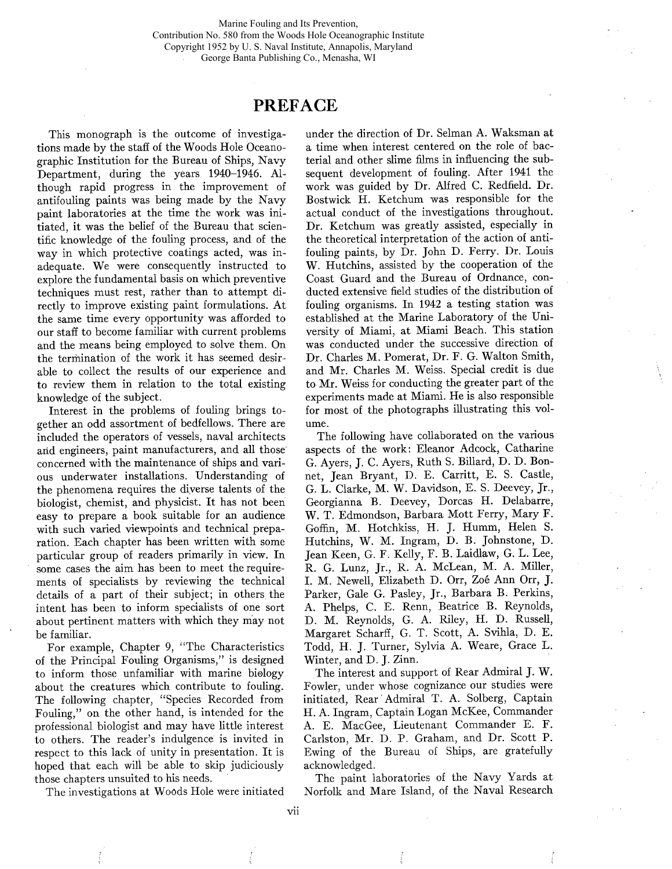Marine Fouling and Its Prevention, Contribution No. 580 from the Woods Hole Oceanographic Institute Copyright 1952 by U. S. Naval Institute, Annapolis, Maryland George Banta Publishing Co., Menasha, WI

## PREFACE

This monograph is the outcome of investigations made by the staff of the Woods Hole Oceanographic Institution for the Bureau of Ships, Navy Department, during the years 1940-1946. Although rapid progress in the improvement of antifouling paints was being made by the Navy paint laboratories at the time the work was initiated, it was the belief of the Bureau that scientific knowledge of the fouling process, and of the way in which protective coatings acted, was inadequate. We were consequently instructed to explore the fundamental basis on which preventive techniques must rest, rather than to attempt directly to improve existing paint formulations. At the same time every opportunity was afforded to our staff to become familiar with current problems and the means being employed to solve them. On the termination of the work it has seemed desirable to collect the results of our experience and to review them in relation to the total existing knowledge of the subject.

Interest in the problems of fouling brings together an odd assortment of bedfellows. There are included the operators of vessels, naval architects arid engineers, paint manufacturers, and all those' concerned with the maintenance of ships and various underwater installations. Understanding of the phenomena requires the diyerse talents of the biologist, chemist, and physicist. It has not been easy to prepare a book suitable for an audience with such varied viewpoints and technical preparation. Each chapter has been written with some particular group of readers primarily in view. In some cases the aim has been to meet the requirements of specialists by reviewing the technical details of a part of their subject; in others, the intent has been to inform specialists of one sort about pertinent matters with which they may not be familiar.

For example, Chapter 9, "The Characteristics of the Principal Fouling Organisms," is designed to inform those unfamiliar with marine biology about the creatures which contribute to fouling. The following chapter, "Species Recorded from Fouling," on the other hand, is intended for the professional biologist and may have little interest to others. The reader's indulgence is invited in respect to this lack of unity in presentation. It is hoped that each will be able to skip judiciously those chapters unsuited to his needs.

The investigations at Woods Hole were initiated

under the direction of Dr. Selman A. Waksman at a time when interest centered on the role of bacterial and other slime fims in influencing the subsequent development of fouling. After 1941 the work was guided by Dr. Alfred C. Redfield. Dr. Bostwick H. Ketchum was responsible for the actual conduct of the investigations throughout. Dr. Ketchum was greatly assisted, especially in the theoretical interpretation of the action of antifouling paints, by Dr. John D. Ferry. Dr. Louis W. Hutchins, assisted by the cooperation of the Coast Guard and the Bureau of Ordnance, conducted extensive field studies of the distribution of fouling organisms. In 1942 a testing station was established at the Marine Laboratory of the University of Miami, at Miami Beach. This station was conducted under the successive direction of Dr. Charles M. Pomerat, Dr. F. G. Walton Smith, and Mr. Charles M. Weiss. Special credit is due to Mr. Weiss for conducting the greater part of the experiments made at Miami. He is also responsible for most of the photographs ilustrating this volume.

The following have collaborated on the various aspects of the work: Eleanor Adcock, Catharine G. Ayers, J. C. Ayers, Ruth S. Bilard, D. D. Bonnet, Jean Bryant, D. E. Carritt, E. S. Castle, G. L. Clarke, M. W. Davidson, E. S. Deevey, Jr., Georgianna B. Deevey, Dorcas H. Delabarre, W. T. Edmondson, Barbara Mott Ferry, Mary F. Goffn, M. Hotchkiss, H. J. Humm, Helen S. Hutchins, W. M. Ingram, D. B. Johnstone, D. Jean Keen, G. F. Kelly, F. B. Laidlaw, G. L. Lee, R. G. Lunz, Jr., R. A. McLean, M. A. Miler, 1. M. Newell, Elizabeth D. Orr, Zoé Ann Orr, J. Parker, Gale G. Pasley, Jr., Barbara B. Perkins, A. Phelps, C. E. Renn, Beatrice B. Reynolds, D. M. Reynolds, G. A. Riley, H. D. Russell, Margaret Scharff, G. T. Scott, A. Svihla, D. E. Todd, H. J. Turner, Sylvia A. Weare, Grace L. Winter, and D. J. Zinn.

The interest and support of Rear Admiral J. W. Fowler, under whose cognizance our studies were initiated, Rear' Admiral T. A. Solberg, Captain H. A. Ingram, Captain Logan McKee, Commander A. E. MacGee, Lieutenant Commander E. F. Carlston, Mr. D. P. Graham, and Dr. Scott P. Ewing of the Bureau of Ships, are gratefully acknowledged.

The paint laboratories of the Navy Yards at Norfolk and Mare Island, of the Naval Research